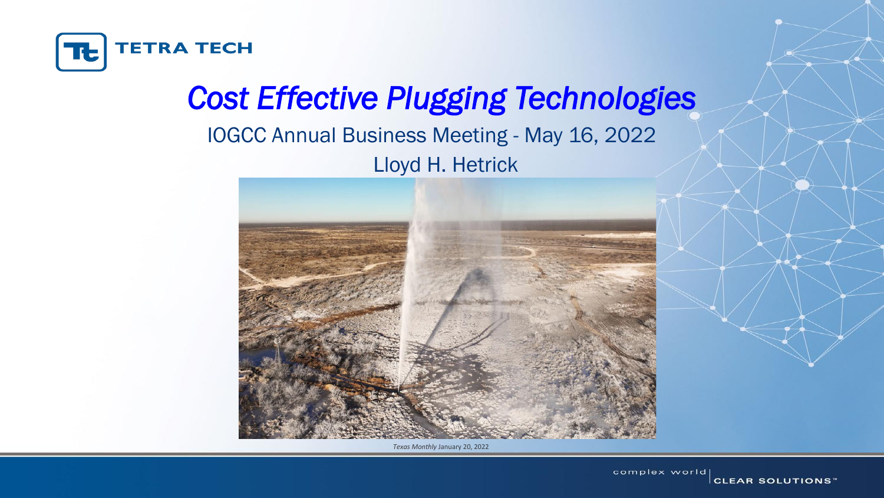

## *Cost Effective Plugging Technologies* IOGCC Annual Business Meeting - May 16, 2022 Lloyd H. Hetrick



*Texas Monthly* January 20, 2022

complex world **CLEAR SOLUTIONS**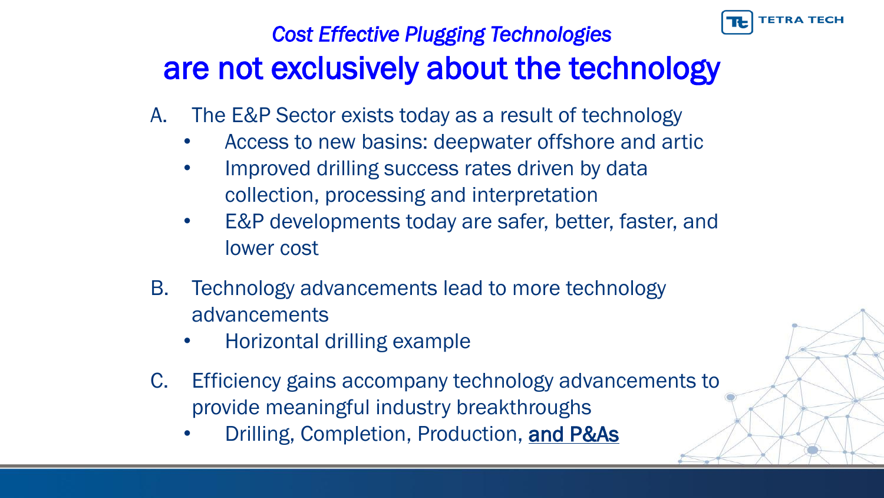

#### *Cost Effective Plugging Technologies*  are not exclusively about the technology

- A. The E&P Sector exists today as a result of technology
	- Access to new basins: deepwater offshore and artic
	- Improved drilling success rates driven by data collection, processing and interpretation
	- E&P developments today are safer, better, faster, and lower cost
- B. Technology advancements lead to more technology advancements
	- Horizontal drilling example
- C. Efficiency gains accompany technology advancements to provide meaningful industry breakthroughs
	- Drilling, Completion, Production, and P&As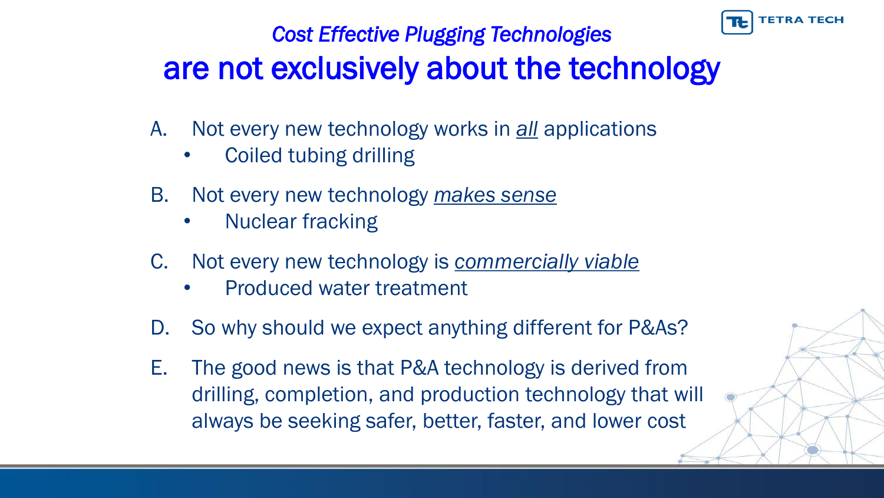

#### *Cost Effective Plugging Technologies*  are not exclusively about the technology

- A. Not every new technology works in *all* applications
	- Coiled tubing drilling
- B. Not every new technology *makes sense*
	- Nuclear fracking
- C. Not every new technology is *commercially viable*
	- Produced water treatment
- D. So why should we expect anything different for P&As?
- E. The good news is that P&A technology is derived from drilling, completion, and production technology that will always be seeking safer, better, faster, and lower cost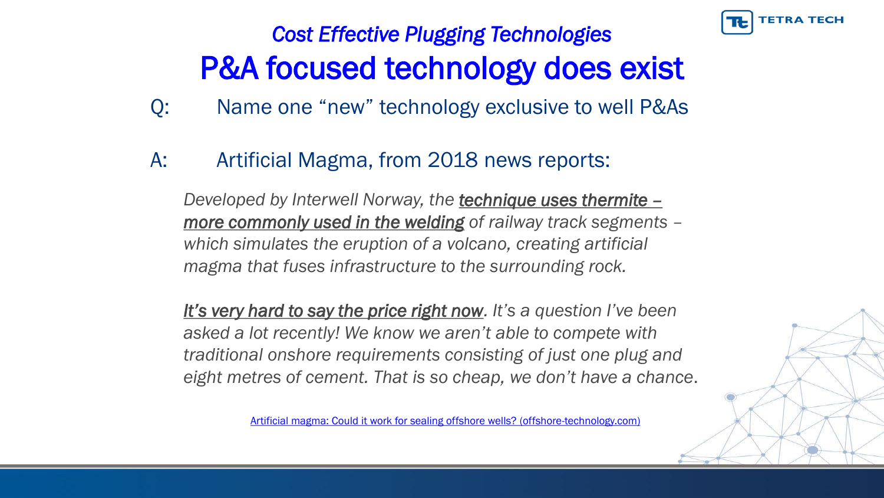

# *Cost Effective Plugging Technologies*  P&A focused technology does exist

- Q: Name one "new" technology exclusive to well P&As
- A: Artificial Magma, from 2018 news reports:

*Developed by Interwell Norway, the technique uses thermite – more commonly used in the welding of railway track segments – which simulates the eruption of a volcano, creating artificial magma that fuses infrastructure to the surrounding rock.*

*It's very hard to say the price right now. It's a question I've been asked a lot recently! We know we aren't able to compete with traditional onshore requirements consisting of just one plug and eight metres of cement. That is so cheap, we don't have a chance*.

[Artificial magma: Could it work for sealing offshore wells? \(offshore-technology.com\)](https://www.offshore-technology.com/analysis/artificial-magma-work-sealing-offshore-wells/)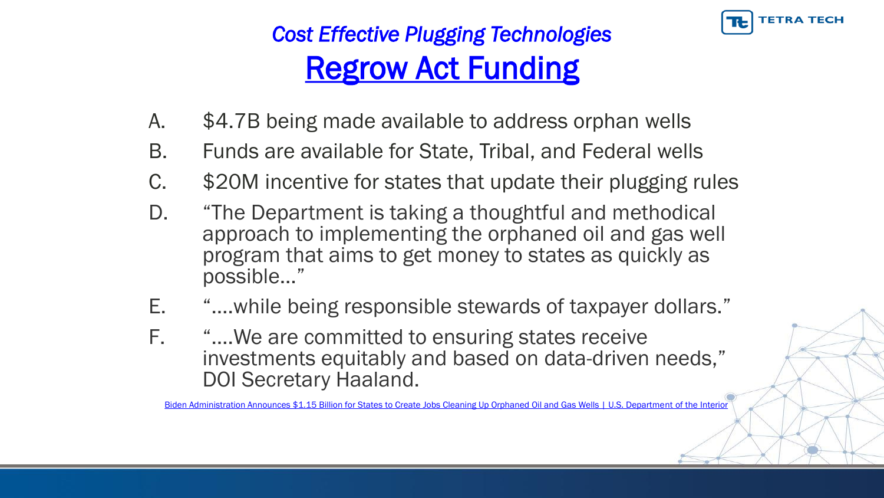

# *Cost Effective Plugging Technologies*  Regrow Act Funding

- A. \$4.7B being made available to address orphan wells
- B. Funds are available for State, Tribal, and Federal wells
- C. \$20M incentive for states that update their plugging rules
- D. "The Department is taking a thoughtful and methodical approach to implementing the orphaned oil and gas well program that aims to get money to states as quickly as possible…"
- E. "….while being responsible stewards of taxpayer dollars."
- F. "….We are committed to ensuring states receive investments equitably and based on data-driven needs," DOI Secretary Haaland.

[Biden Administration Announces \\$1.15 Billion for States to Create Jobs Cleaning Up Orphaned Oil and Gas Wells | U.S. Department of the Interior](https://www.doi.gov/pressreleases/biden-administration-announces-115-billion-states-create-jobs-cleaning-orphaned-oil)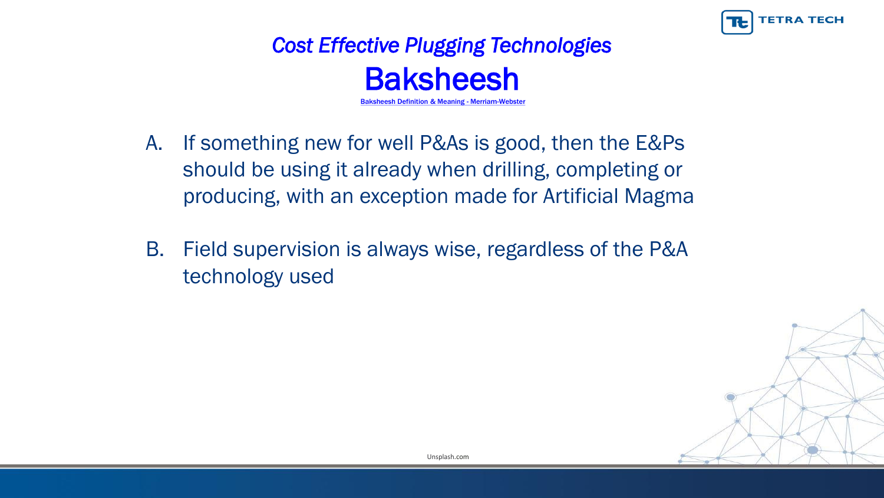

#### *Cost Effective Plugging Technologies*  **Baksheesh Baksheesh [Definition & Meaning -](https://www.merriam-webster.com/dictionary/baksheesh) Merriam-Webster**

- A. If something new for well P&As is good, then the E&Ps should be using it already when drilling, completing or producing, with an exception made for Artificial Magma
- B. Field supervision is always wise, regardless of the P&A technology used